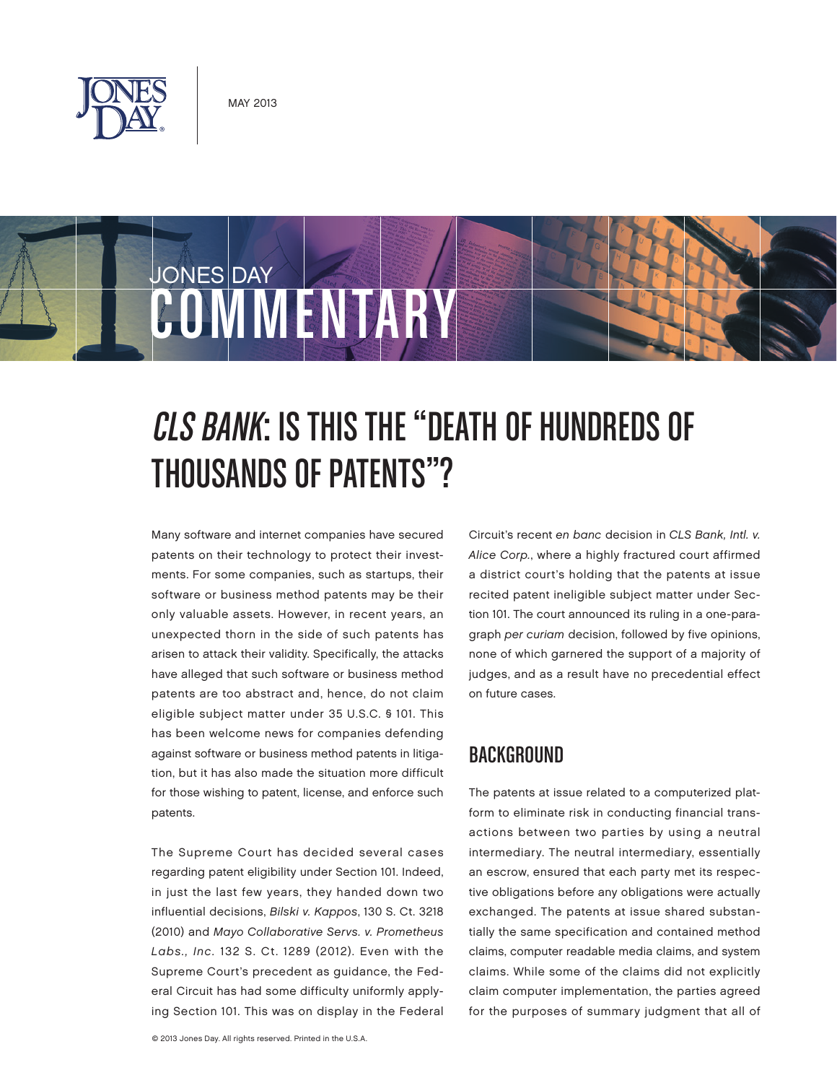



# CLS Bank: Is This the "Death of Hundreds of THOUSANDS OF PATENTS"?

Many software and internet companies have secured patents on their technology to protect their investments. For some companies, such as startups, their software or business method patents may be their only valuable assets. However, in recent years, an unexpected thorn in the side of such patents has arisen to attack their validity. Specifically, the attacks have alleged that such software or business method patents are too abstract and, hence, do not claim eligible subject matter under 35 U.S.C. § 101. This has been welcome news for companies defending against software or business method patents in litigation, but it has also made the situation more difficult for those wishing to patent, license, and enforce such patents.

The Supreme Court has decided several cases regarding patent eligibility under Section 101. Indeed, in just the last few years, they handed down two influential decisions, Bilski v. Kappos, 130 S. Ct. 3218 (2010) and Mayo Collaborative Servs. v. Prometheus Labs., Inc. 132 S. Ct. 1289 (2012). Even with the Supreme Court's precedent as guidance, the Federal Circuit has had some difficulty uniformly applying Section 101. This was on display in the Federal Circuit's recent en banc decision in CLS Bank, Intl. v. Alice Corp., where a highly fractured court affirmed a district court's holding that the patents at issue recited patent ineligible subject matter under Section 101. The court announced its ruling in a one-paragraph per curiam decision, followed by five opinions, none of which garnered the support of a majority of judges, and as a result have no precedential effect on future cases.

## **BACKGROUND**

The patents at issue related to a computerized platform to eliminate risk in conducting financial transactions between two parties by using a neutral intermediary. The neutral intermediary, essentially an escrow, ensured that each party met its respective obligations before any obligations were actually exchanged. The patents at issue shared substantially the same specification and contained method claims, computer readable media claims, and system claims. While some of the claims did not explicitly claim computer implementation, the parties agreed for the purposes of summary judgment that all of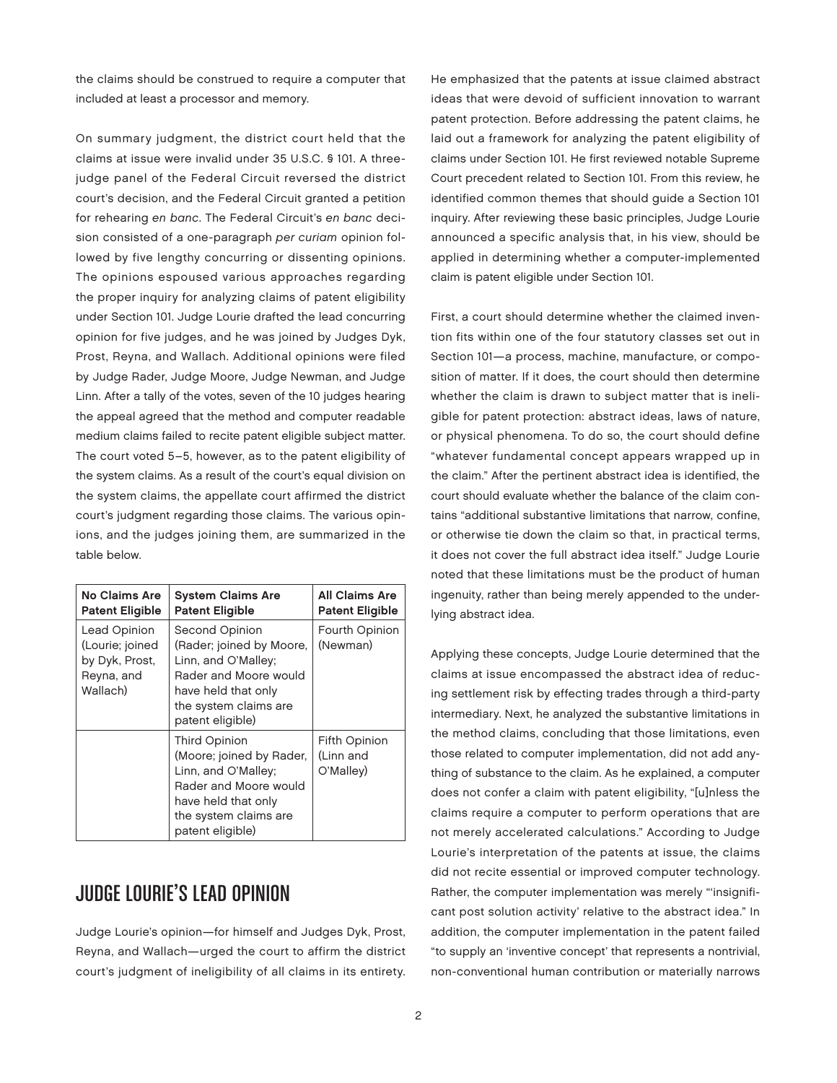the claims should be construed to require a computer that included at least a processor and memory.

On summary judgment, the district court held that the claims at issue were invalid under 35 U.S.C. § 101. A threejudge panel of the Federal Circuit reversed the district court's decision, and the Federal Circuit granted a petition for rehearing en banc. The Federal Circuit's en banc decision consisted of a one-paragraph per curiam opinion followed by five lengthy concurring or dissenting opinions. The opinions espoused various approaches regarding the proper inquiry for analyzing claims of patent eligibility under Section 101. Judge Lourie drafted the lead concurring opinion for five judges, and he was joined by Judges Dyk, Prost, Reyna, and Wallach. Additional opinions were filed by Judge Rader, Judge Moore, Judge Newman, and Judge Linn. After a tally of the votes, seven of the 10 judges hearing the appeal agreed that the method and computer readable medium claims failed to recite patent eligible subject matter. The court voted 5–5, however, as to the patent eligibility of the system claims. As a result of the court's equal division on the system claims, the appellate court affirmed the district court's judgment regarding those claims. The various opinions, and the judges joining them, are summarized in the table below.

| No Claims Are<br><b>Patent Eligible</b>                                     | <b>System Claims Are</b><br><b>Patent Eligible</b>                                                                                                             | <b>All Claims Are</b><br><b>Patent Eligible</b> |
|-----------------------------------------------------------------------------|----------------------------------------------------------------------------------------------------------------------------------------------------------------|-------------------------------------------------|
| Lead Opinion<br>(Lourie; joined<br>by Dyk, Prost,<br>Reyna, and<br>Wallach) | Second Opinion<br>(Rader; joined by Moore,<br>Linn, and O'Malley;<br>Rader and Moore would<br>have held that only<br>the system claims are<br>patent eligible) | Fourth Opinion<br>(Newman)                      |
|                                                                             | Third Opinion<br>(Moore; joined by Rader,<br>Linn, and O'Malley;<br>Rader and Moore would<br>have held that only<br>the system claims are<br>patent eligible)  | Fifth Opinion<br>(Linn and<br>O'Malley)         |

## Judge Lourie's Lead Opinion

Judge Lourie's opinion—for himself and Judges Dyk, Prost, Reyna, and Wallach—urged the court to affirm the district court's judgment of ineligibility of all claims in its entirety.

He emphasized that the patents at issue claimed abstract ideas that were devoid of sufficient innovation to warrant patent protection. Before addressing the patent claims, he laid out a framework for analyzing the patent eligibility of claims under Section 101. He first reviewed notable Supreme Court precedent related to Section 101. From this review, he identified common themes that should guide a Section 101 inquiry. After reviewing these basic principles, Judge Lourie announced a specific analysis that, in his view, should be applied in determining whether a computer-implemented claim is patent eligible under Section 101.

First, a court should determine whether the claimed invention fits within one of the four statutory classes set out in Section 101—a process, machine, manufacture, or composition of matter. If it does, the court should then determine whether the claim is drawn to subject matter that is ineligible for patent protection: abstract ideas, laws of nature, or physical phenomena. To do so, the court should define "whatever fundamental concept appears wrapped up in the claim." After the pertinent abstract idea is identified, the court should evaluate whether the balance of the claim contains "additional substantive limitations that narrow, confine, or otherwise tie down the claim so that, in practical terms, it does not cover the full abstract idea itself." Judge Lourie noted that these limitations must be the product of human ingenuity, rather than being merely appended to the underlying abstract idea.

Applying these concepts, Judge Lourie determined that the claims at issue encompassed the abstract idea of reducing settlement risk by effecting trades through a third-party intermediary. Next, he analyzed the substantive limitations in the method claims, concluding that those limitations, even those related to computer implementation, did not add anything of substance to the claim. As he explained, a computer does not confer a claim with patent eligibility, "[u]nless the claims require a computer to perform operations that are not merely accelerated calculations." According to Judge Lourie's interpretation of the patents at issue, the claims did not recite essential or improved computer technology. Rather, the computer implementation was merely "'insignificant post solution activity' relative to the abstract idea." In addition, the computer implementation in the patent failed "to supply an 'inventive concept' that represents a nontrivial, non-conventional human contribution or materially narrows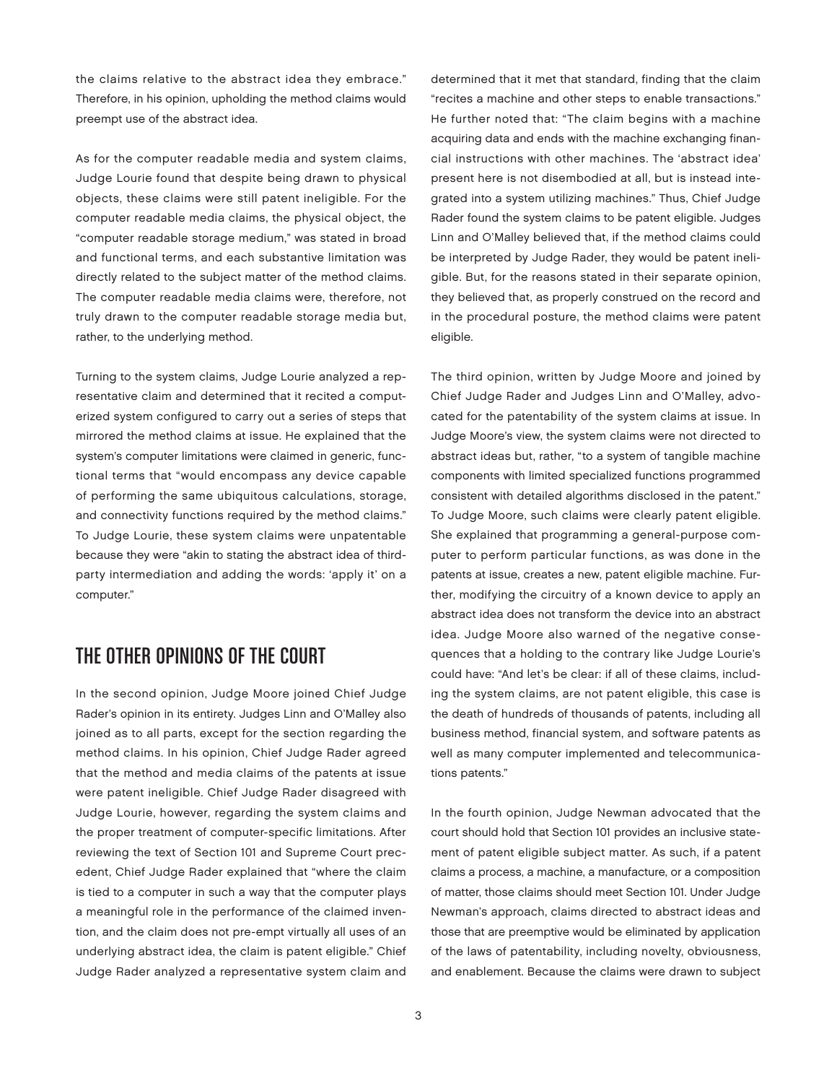the claims relative to the abstract idea they embrace." Therefore, in his opinion, upholding the method claims would preempt use of the abstract idea.

As for the computer readable media and system claims, Judge Lourie found that despite being drawn to physical objects, these claims were still patent ineligible. For the computer readable media claims, the physical object, the "computer readable storage medium," was stated in broad and functional terms, and each substantive limitation was directly related to the subject matter of the method claims. The computer readable media claims were, therefore, not truly drawn to the computer readable storage media but, rather, to the underlying method.

Turning to the system claims, Judge Lourie analyzed a representative claim and determined that it recited a computerized system configured to carry out a series of steps that mirrored the method claims at issue. He explained that the system's computer limitations were claimed in generic, functional terms that "would encompass any device capable of performing the same ubiquitous calculations, storage, and connectivity functions required by the method claims." To Judge Lourie, these system claims were unpatentable because they were "akin to stating the abstract idea of thirdparty intermediation and adding the words: 'apply it' on a computer."

#### The Other Opinions of the Court

In the second opinion, Judge Moore joined Chief Judge Rader's opinion in its entirety. Judges Linn and O'Malley also joined as to all parts, except for the section regarding the method claims. In his opinion, Chief Judge Rader agreed that the method and media claims of the patents at issue were patent ineligible. Chief Judge Rader disagreed with Judge Lourie, however, regarding the system claims and the proper treatment of computer-specific limitations. After reviewing the text of Section 101 and Supreme Court precedent, Chief Judge Rader explained that "where the claim is tied to a computer in such a way that the computer plays a meaningful role in the performance of the claimed invention, and the claim does not pre-empt virtually all uses of an underlying abstract idea, the claim is patent eligible." Chief Judge Rader analyzed a representative system claim and

determined that it met that standard, finding that the claim "recites a machine and other steps to enable transactions." He further noted that: "The claim begins with a machine acquiring data and ends with the machine exchanging financial instructions with other machines. The 'abstract idea' present here is not disembodied at all, but is instead integrated into a system utilizing machines." Thus, Chief Judge Rader found the system claims to be patent eligible. Judges Linn and O'Malley believed that, if the method claims could be interpreted by Judge Rader, they would be patent ineligible. But, for the reasons stated in their separate opinion, they believed that, as properly construed on the record and in the procedural posture, the method claims were patent eligible.

The third opinion, written by Judge Moore and joined by Chief Judge Rader and Judges Linn and O'Malley, advocated for the patentability of the system claims at issue. In Judge Moore's view, the system claims were not directed to abstract ideas but, rather, "to a system of tangible machine components with limited specialized functions programmed consistent with detailed algorithms disclosed in the patent." To Judge Moore, such claims were clearly patent eligible. She explained that programming a general-purpose computer to perform particular functions, as was done in the patents at issue, creates a new, patent eligible machine. Further, modifying the circuitry of a known device to apply an abstract idea does not transform the device into an abstract idea. Judge Moore also warned of the negative consequences that a holding to the contrary like Judge Lourie's could have: "And let's be clear: if all of these claims, including the system claims, are not patent eligible, this case is the death of hundreds of thousands of patents, including all business method, financial system, and software patents as well as many computer implemented and telecommunications patents."

In the fourth opinion, Judge Newman advocated that the court should hold that Section 101 provides an inclusive statement of patent eligible subject matter. As such, if a patent claims a process, a machine, a manufacture, or a composition of matter, those claims should meet Section 101. Under Judge Newman's approach, claims directed to abstract ideas and those that are preemptive would be eliminated by application of the laws of patentability, including novelty, obviousness, and enablement. Because the claims were drawn to subject